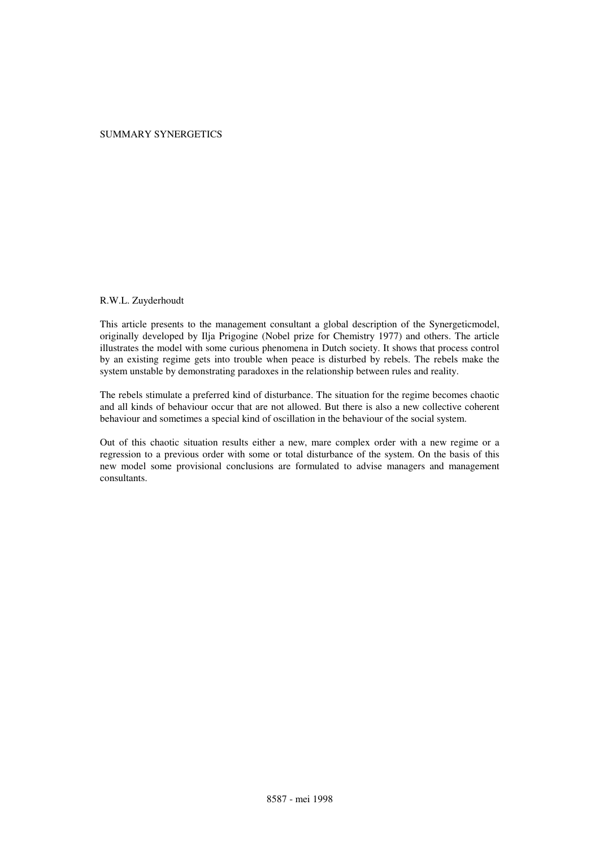#### SUMMARY SYNERGETICS

#### R.W.L. Zuyderhoudt

This article presents to the management consultant a global description of the Synergeticmodel, originally developed by Ilja Prigogine (Nobel prize for Chemistry 1977) and others. The article illustrates the model with some curious phenomena in Dutch society. It shows that process control by an existing regime gets into trouble when peace is disturbed by rebels. The rebels make the system unstable by demonstrating paradoxes in the relationship between rules and reality.

The rebels stimulate a preferred kind of disturbance. The situation for the regime becomes chaotic and all kinds of behaviour occur that are not allowed. But there is also a new collective coherent behaviour and sometimes a special kind of oscillation in the behaviour of the social system.

Out of this chaotic situation results either a new, mare complex order with a new regime or a regression to a previous order with some or total disturbance of the system. On the basis of this new model some provisional conclusions are formulated to advise managers and management consultants.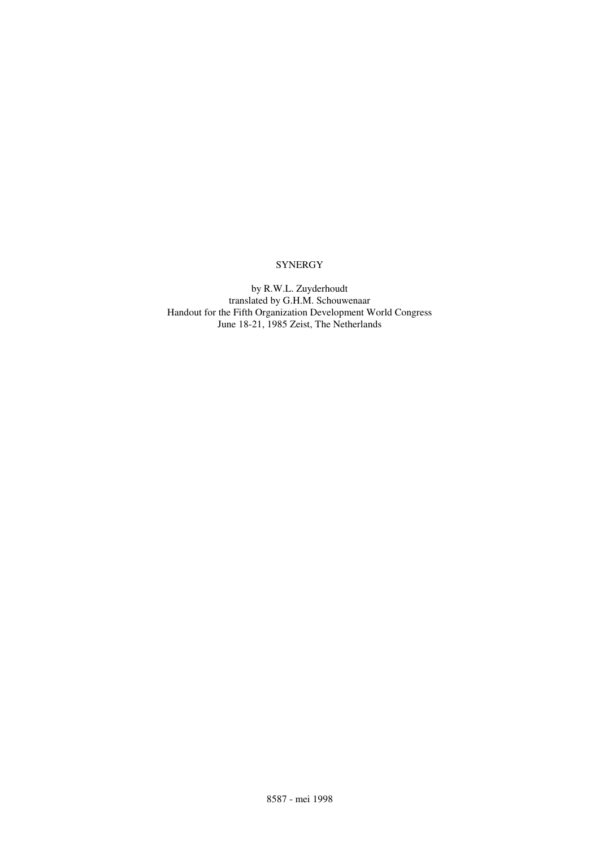# **SYNERGY**

by R.W.L. Zuyderhoudt translated by G.H.M. Schouwenaar Handout for the Fifth Organization Development World Congress June 18-21, 1985 Zeist, The Netherlands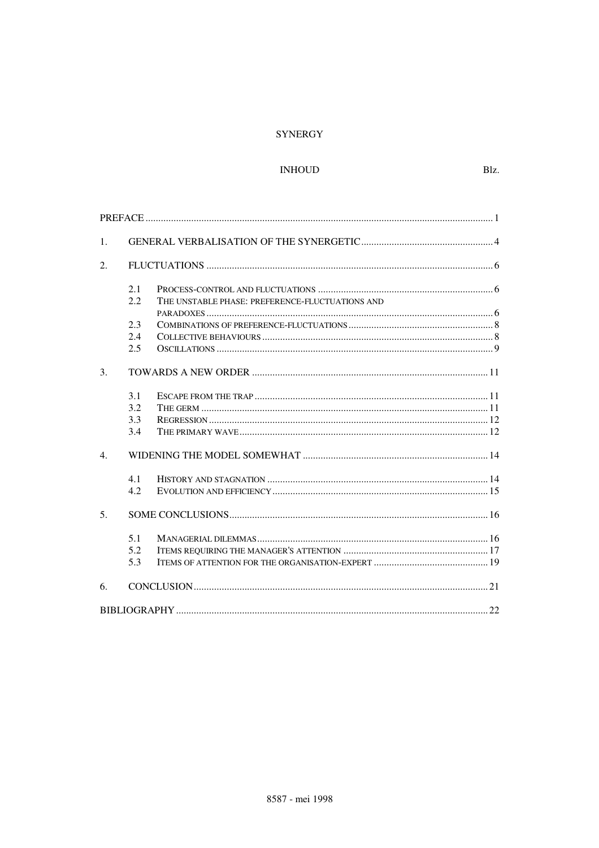## **SYNERGY**

## $\mathop{\text{INHOUD}}$

| 1.             |     |                                                           |
|----------------|-----|-----------------------------------------------------------|
| 2.             |     |                                                           |
|                | 2.1 |                                                           |
|                | 2.2 | THE UNSTABLE PHASE: PREFERENCE-FLUCTUATIONS AND           |
|                |     |                                                           |
|                | 2.3 |                                                           |
|                | 2.4 |                                                           |
|                | 2.5 |                                                           |
| 3.             |     |                                                           |
|                | 3.1 |                                                           |
|                | 3.2 |                                                           |
|                | 3.3 |                                                           |
|                | 3.4 |                                                           |
| $\mathbf{4}$ . |     |                                                           |
|                | 4.1 |                                                           |
|                | 4.2 |                                                           |
| 5 <sub>1</sub> |     |                                                           |
|                | 5.1 | ${\bf MANAGERIAL\ DILEMMAS} \label{m:MRNAGERIAL}\tag{16}$ |
|                | 5.2 |                                                           |
|                | 5.3 |                                                           |
| 6.             |     |                                                           |
|                |     |                                                           |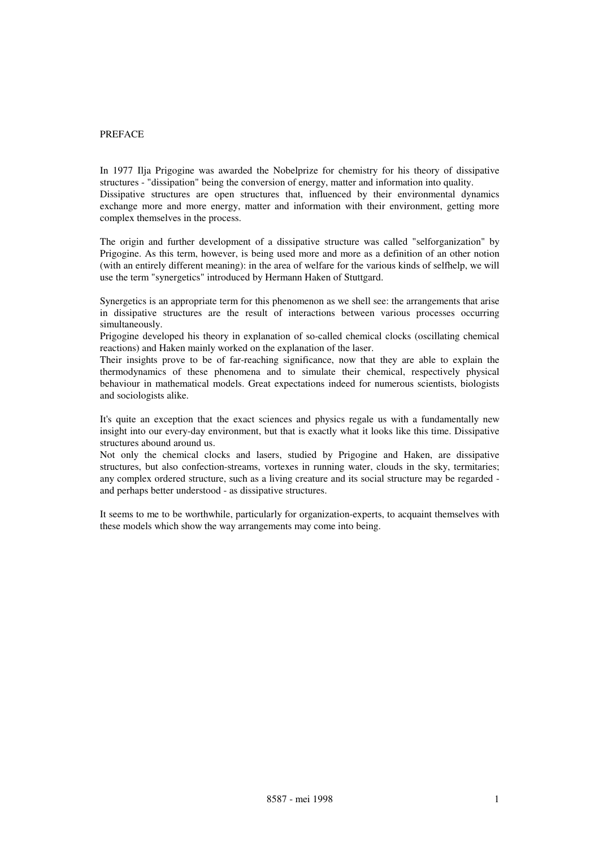#### PREFACE

In 1977 Ilja Prigogine was awarded the Nobelprize for chemistry for his theory of dissipative structures - "dissipation" being the conversion of energy, matter and information into quality. Dissipative structures are open structures that, influenced by their environmental dynamics exchange more and more energy, matter and information with their environment, getting more complex themselves in the process.

The origin and further development of a dissipative structure was called "selforganization" by Prigogine. As this term, however, is being used more and more as a definition of an other notion (with an entirely different meaning): in the area of welfare for the various kinds of selfhelp, we will use the term "synergetics" introduced by Hermann Haken of Stuttgard.

Synergetics is an appropriate term for this phenomenon as we shell see: the arrangements that arise in dissipative structures are the result of interactions between various processes occurring simultaneously.

Prigogine developed his theory in explanation of so-called chemical clocks (oscillating chemical reactions) and Haken mainly worked on the explanation of the laser.

Their insights prove to be of far-reaching significance, now that they are able to explain the thermodynamics of these phenomena and to simulate their chemical, respectively physical behaviour in mathematical models. Great expectations indeed for numerous scientists, biologists and sociologists alike.

It's quite an exception that the exact sciences and physics regale us with a fundamentally new insight into our every-day environment, but that is exactly what it looks like this time. Dissipative structures abound around us.

Not only the chemical clocks and lasers, studied by Prigogine and Haken, are dissipative structures, but also confection-streams, vortexes in running water, clouds in the sky, termitaries; any complex ordered structure, such as a living creature and its social structure may be regarded and perhaps better understood - as dissipative structures.

It seems to me to be worthwhile, particularly for organization-experts, to acquaint themselves with these models which show the way arrangements may come into being.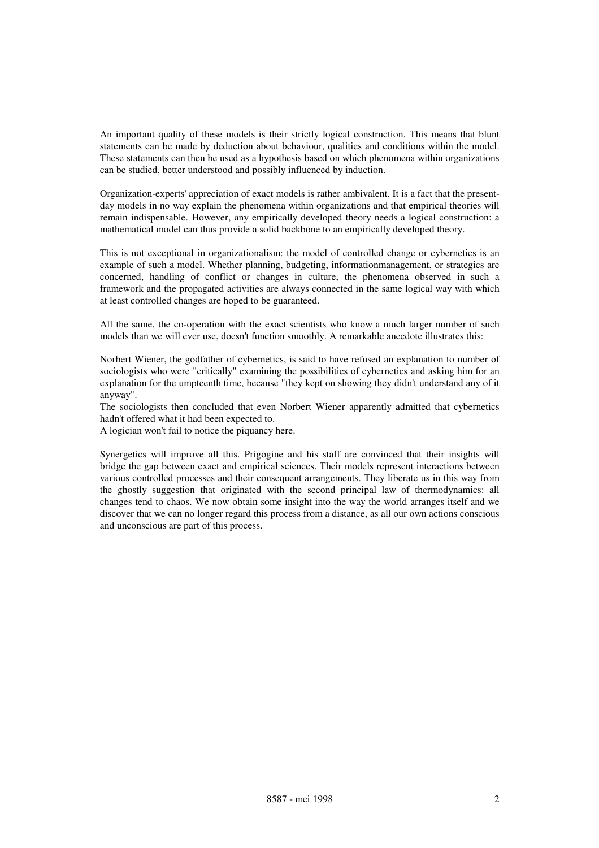An important quality of these models is their strictly logical construction. This means that blunt statements can be made by deduction about behaviour, qualities and conditions within the model. These statements can then be used as a hypothesis based on which phenomena within organizations can be studied, better understood and possibly influenced by induction.

Organization-experts' appreciation of exact models is rather ambivalent. It is a fact that the presentday models in no way explain the phenomena within organizations and that empirical theories will remain indispensable. However, any empirically developed theory needs a logical construction: a mathematical model can thus provide a solid backbone to an empirically developed theory.

This is not exceptional in organizationalism: the model of controlled change or cybernetics is an example of such a model. Whether planning, budgeting, informationmanagement, or strategics are concerned, handling of conflict or changes in culture, the phenomena observed in such a framework and the propagated activities are always connected in the same logical way with which at least controlled changes are hoped to be guaranteed.

All the same, the co-operation with the exact scientists who know a much larger number of such models than we will ever use, doesn't function smoothly. A remarkable anecdote illustrates this:

Norbert Wiener, the godfather of cybernetics, is said to have refused an explanation to number of sociologists who were "critically" examining the possibilities of cybernetics and asking him for an explanation for the umpteenth time, because "they kept on showing they didn't understand any of it anyway".

The sociologists then concluded that even Norbert Wiener apparently admitted that cybernetics hadn't offered what it had been expected to.

A logician won't fail to notice the piquancy here.

Synergetics will improve all this. Prigogine and his staff are convinced that their insights will bridge the gap between exact and empirical sciences. Their models represent interactions between various controlled processes and their consequent arrangements. They liberate us in this way from the ghostly suggestion that originated with the second principal law of thermodynamics: all changes tend to chaos. We now obtain some insight into the way the world arranges itself and we discover that we can no longer regard this process from a distance, as all our own actions conscious and unconscious are part of this process.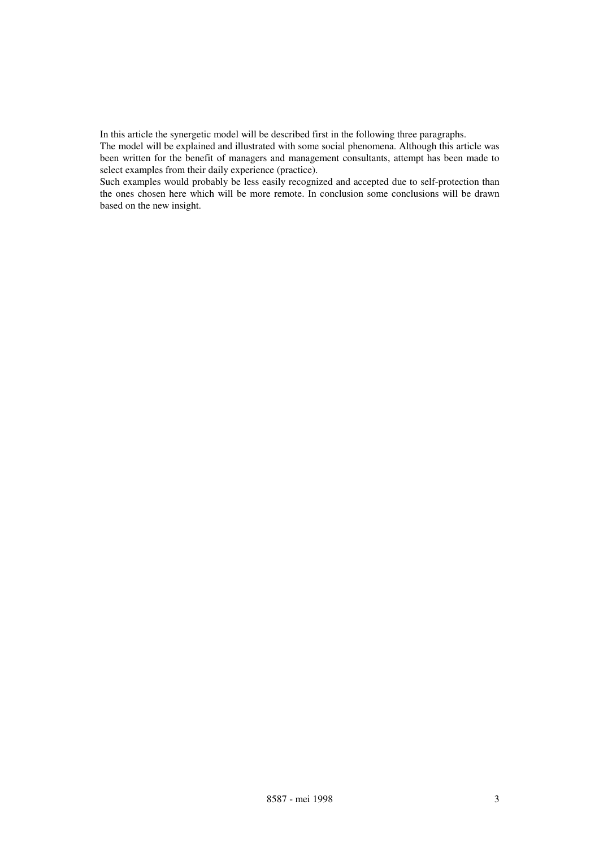In this article the synergetic model will be described first in the following three paragraphs.

The model will be explained and illustrated with some social phenomena. Although this article was been written for the benefit of managers and management consultants, attempt has been made to select examples from their daily experience (practice).

Such examples would probably be less easily recognized and accepted due to self-protection than the ones chosen here which will be more remote. In conclusion some conclusions will be drawn based on the new insight.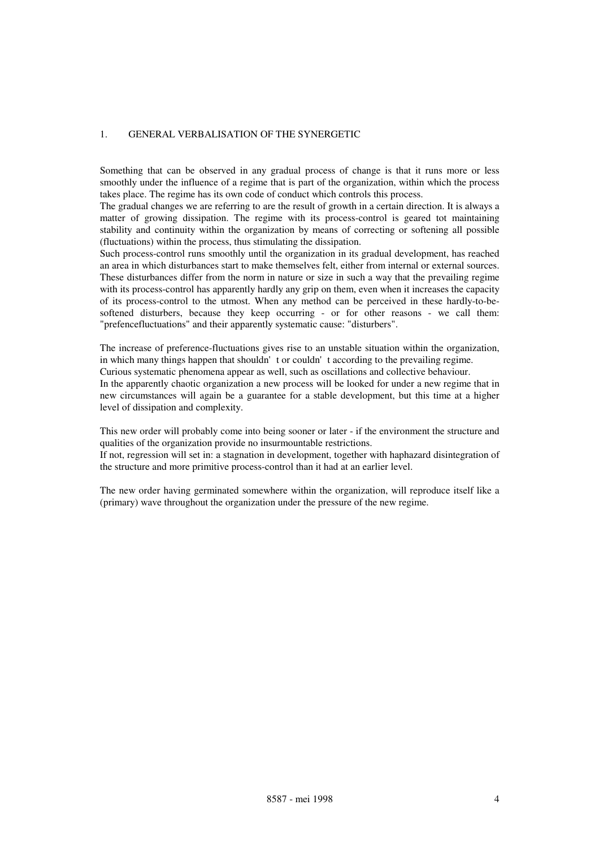## 1. GENERAL VERBALISATION OF THE SYNERGETIC

Something that can be observed in any gradual process of change is that it runs more or less smoothly under the influence of a regime that is part of the organization, within which the process takes place. The regime has its own code of conduct which controls this process.

The gradual changes we are referring to are the result of growth in a certain direction. It is always a matter of growing dissipation. The regime with its process-control is geared tot maintaining stability and continuity within the organization by means of correcting or softening all possible (fluctuations) within the process, thus stimulating the dissipation.

Such process-control runs smoothly until the organization in its gradual development, has reached an area in which disturbances start to make themselves felt, either from internal or external sources. These disturbances differ from the norm in nature or size in such a way that the prevailing regime with its process-control has apparently hardly any grip on them, even when it increases the capacity of its process-control to the utmost. When any method can be perceived in these hardly-to-besoftened disturbers, because they keep occurring - or for other reasons - we call them: "prefencefluctuations" and their apparently systematic cause: "disturbers".

The increase of preference-fluctuations gives rise to an unstable situation within the organization, in which many things happen that shouldn't or couldn't according to the prevailing regime. Curious systematic phenomena appear as well, such as oscillations and collective behaviour. In the apparently chaotic organization a new process will be looked for under a new regime that in new circumstances will again be a guarantee for a stable development, but this time at a higher level of dissipation and complexity.

This new order will probably come into being sooner or later - if the environment the structure and qualities of the organization provide no insurmountable restrictions.

If not, regression will set in: a stagnation in development, together with haphazard disintegration of the structure and more primitive process-control than it had at an earlier level.

The new order having germinated somewhere within the organization, will reproduce itself like a (primary) wave throughout the organization under the pressure of the new regime.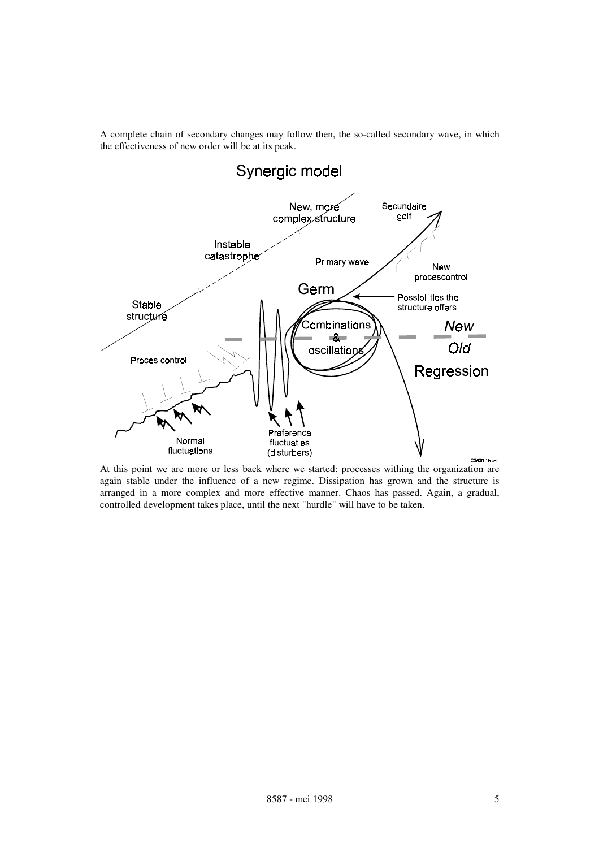A complete chain of secondary changes may follow then, the so-called secondary wave, in which the effectiveness of new order will be at its peak.



At this point we are more or less back where we started: processes withing the organization are again stable under the influence of a new regime. Dissipation has grown and the structure is arranged in a more complex and more effective manner. Chaos has passed. Again, a gradual, controlled development takes place, until the next "hurdle" will have to be taken.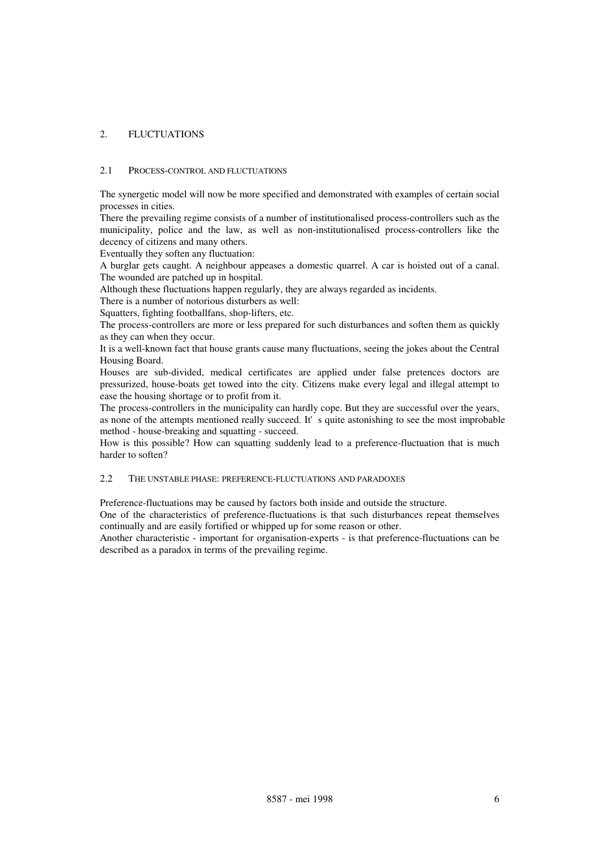## 2. FLUCTUATIONS

#### 2.1 PROCESS-CONTROL AND FLUCTUATIONS

The synergetic model will now be more specified and demonstrated with examples of certain social processes in cities.

There the prevailing regime consists of a number of institutionalised process-controllers such as the municipality, police and the law, as well as non-institutionalised process-controllers like the decency of citizens and many others.

Eventually they soften any fluctuation:

A burglar gets caught. A neighbour appeases a domestic quarrel. A car is hoisted out of a canal. The wounded are patched up in hospital.

Although these fluctuations happen regularly, they are always regarded as incidents.

There is a number of notorious disturbers as well:

Squatters, fighting footballfans, shop-lifters, etc.

The process-controllers are more or less prepared for such disturbances and soften them as quickly as they can when they occur.

It is a well-known fact that house grants cause many fluctuations, seeing the jokes about the Central Housing Board.

Houses are sub-divided, medical certificates are applied under false pretences doctors are pressurized, house-boats get towed into the city. Citizens make every legal and illegal attempt to ease the housing shortage or to profit from it.

The process-controllers in the municipality can hardly cope. But they are successful over the years, as none of the attempts mentioned really succeed. It's quite astonishing to see the most improbable method - house-breaking and squatting - succeed.

How is this possible? How can squatting suddenly lead to a preference-fluctuation that is much harder to soften?

#### 2.2 THE UNSTABLE PHASE: PREFERENCE-FLUCTUATIONS AND PARADOXES

Preference-fluctuations may be caused by factors both inside and outside the structure.

One of the characteristics of preference-fluctuations is that such disturbances repeat themselves continually and are easily fortified or whipped up for some reason or other.

Another characteristic - important for organisation-experts - is that preference-fluctuations can be described as a paradox in terms of the prevailing regime.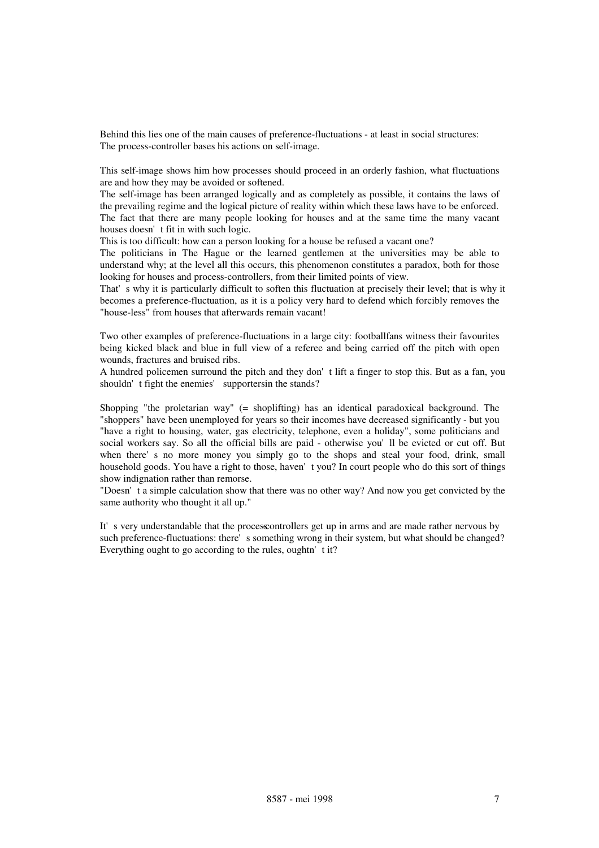Behind this lies one of the main causes of preference-fluctuations - at least in social structures: The process-controller bases his actions on self-image.

This self-image shows him how processes should proceed in an orderly fashion, what fluctuations are and how they may be avoided or softened.

The self-image has been arranged logically and as completely as possible, it contains the laws of the prevailing regime and the logical picture of reality within which these laws have to be enforced. The fact that there are many people looking for houses and at the same time the many vacant houses doesn't fit in with such logic.

This is too difficult: how can a person looking for a house be refused a vacant one?

The politicians in The Hague or the learned gentlemen at the universities may be able to understand why; at the level all this occurs, this phenomenon constitutes a paradox, both for those looking for houses and process-controllers, from their limited points of view.

That's why it is particularly difficult to soften this fluctuation at precisely their level; that is why it becomes a preference-fluctuation, as it is a policy very hard to defend which forcibly removes the "house-less" from houses that afterwards remain vacant!

Two other examples of preference-fluctuations in a large city: footballfans witness their favourites being kicked black and blue in full view of a referee and being carried off the pitch with open wounds, fractures and bruised ribs.

A hundred policemen surround the pitch and they don't lift a finger to stop this. But as a fan, you shouldn't fight the enemies' supportersin the stands?

Shopping "the proletarian way" (= shoplifting) has an identical paradoxical background. The "shoppers" have been unemployed for years so their incomes have decreased significantly - but you "have a right to housing, water, gas electricity, telephone, even a holiday", some politicians and social workers say. So all the official bills are paid - otherwise you'll be evicted or cut off. But when there's no more money you simply go to the shops and steal your food, drink, small household goods. You have a right to those, haven't you? In court people who do this sort of things show indignation rather than remorse.

"Doesn't a simple calculation show that there was no other way? And now you get convicted by the same authority who thought it all up."

It's very understandable that the process controllers get up in arms and are made rather nervous by such preference-fluctuations: there's something wrong in their system, but what should be changed? Everything ought to go according to the rules, oughtn'  $t$  it?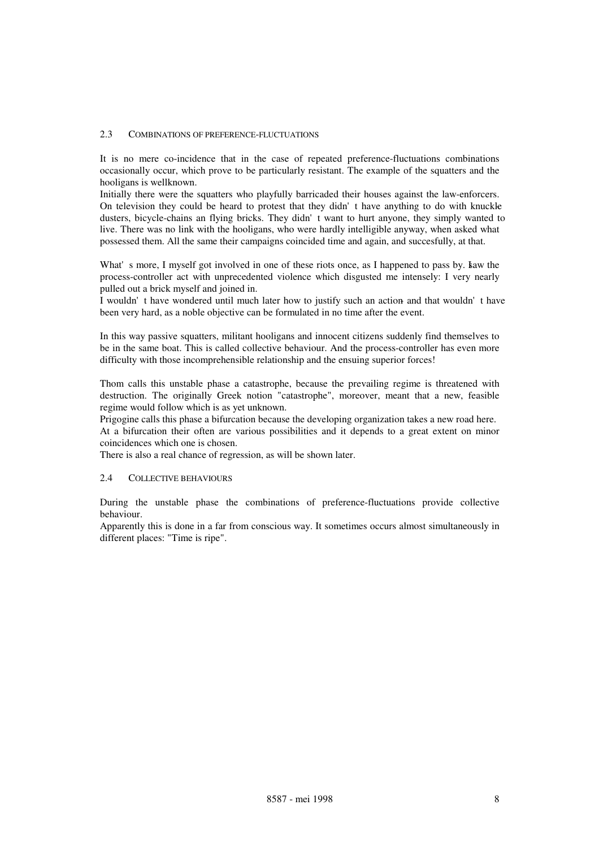#### 2.3 COMBINATIONS OF PREFERENCE-FLUCTUATIONS

It is no mere co-incidence that in the case of repeated preference-fluctuations combinations occasionally occur, which prove to be particularly resistant. The example of the squatters and the hooligans is wellknown.

Initially there were the squatters who playfully barricaded their houses against the law-enforcers. On television they could be heard to protest that they didn't have anything to do with knuckle dusters, bicycle-chains an flying bricks. They didn't want to hurt anyone, they simply wanted to live. There was no link with the hooligans, who were hardly intelligible anyway, when asked what possessed them. All the same their campaigns coincided time and again, and succesfully, at that.

What's more, I myself got involved in one of these riots once, as I happened to pass by. Leaw the process-controller act with unprecedented violence which disgusted me intensely: I very nearly pulled out a brick myself and joined in.

I wouldn't have wondered until much later how to justify such an action and that wouldn't have been very hard, as a noble objective can be formulated in no time after the event.

In this way passive squatters, militant hooligans and innocent citizens suddenly find themselves to be in the same boat. This is called collective behaviour. And the process-controller has even more difficulty with those incomprehensible relationship and the ensuing superior forces!

Thom calls this unstable phase a catastrophe, because the prevailing regime is threatened with destruction. The originally Greek notion "catastrophe", moreover, meant that a new, feasible regime would follow which is as yet unknown.

Prigogine calls this phase a bifurcation because the developing organization takes a new road here. At a bifurcation their often are various possibilities and it depends to a great extent on minor coincidences which one is chosen.

There is also a real chance of regression, as will be shown later.

#### 2.4 COLLECTIVE BEHAVIOURS

During the unstable phase the combinations of preference-fluctuations provide collective behaviour.

Apparently this is done in a far from conscious way. It sometimes occurs almost simultaneously in different places: "Time is ripe".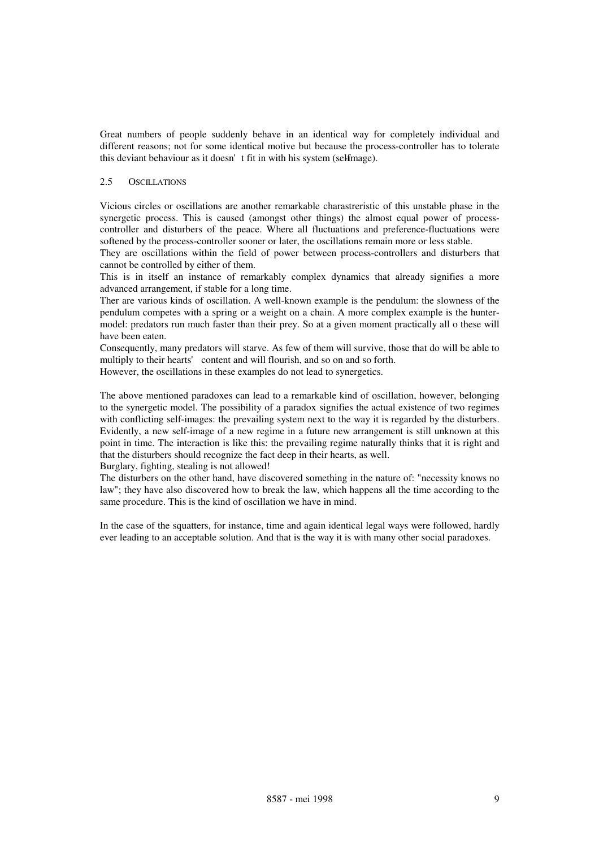Great numbers of people suddenly behave in an identical way for completely individual and different reasons; not for some identical motive but because the process-controller has to tolerate this deviant behaviour as it doesn't fit in with his system (selfmage).

#### 2.5 OSCILLATIONS

Vicious circles or oscillations are another remarkable charastreristic of this unstable phase in the synergetic process. This is caused (amongst other things) the almost equal power of processcontroller and disturbers of the peace. Where all fluctuations and preference-fluctuations were softened by the process-controller sooner or later, the oscillations remain more or less stable.

They are oscillations within the field of power between process-controllers and disturbers that cannot be controlled by either of them.

This is in itself an instance of remarkably complex dynamics that already signifies a more advanced arrangement, if stable for a long time.

Ther are various kinds of oscillation. A well-known example is the pendulum: the slowness of the pendulum competes with a spring or a weight on a chain. A more complex example is the huntermodel: predators run much faster than their prey. So at a given moment practically all o these will have been eaten.

Consequently, many predators will starve. As few of them will survive, those that do will be able to multiply to their hearts' content and will flourish, and so on and so forth.

However, the oscillations in these examples do not lead to synergetics.

The above mentioned paradoxes can lead to a remarkable kind of oscillation, however, belonging to the synergetic model. The possibility of a paradox signifies the actual existence of two regimes with conflicting self-images: the prevailing system next to the way it is regarded by the disturbers. Evidently, a new self-image of a new regime in a future new arrangement is still unknown at this point in time. The interaction is like this: the prevailing regime naturally thinks that it is right and that the disturbers should recognize the fact deep in their hearts, as well.

Burglary, fighting, stealing is not allowed!

The disturbers on the other hand, have discovered something in the nature of: "necessity knows no law"; they have also discovered how to break the law, which happens all the time according to the same procedure. This is the kind of oscillation we have in mind.

In the case of the squatters, for instance, time and again identical legal ways were followed, hardly ever leading to an acceptable solution. And that is the way it is with many other social paradoxes.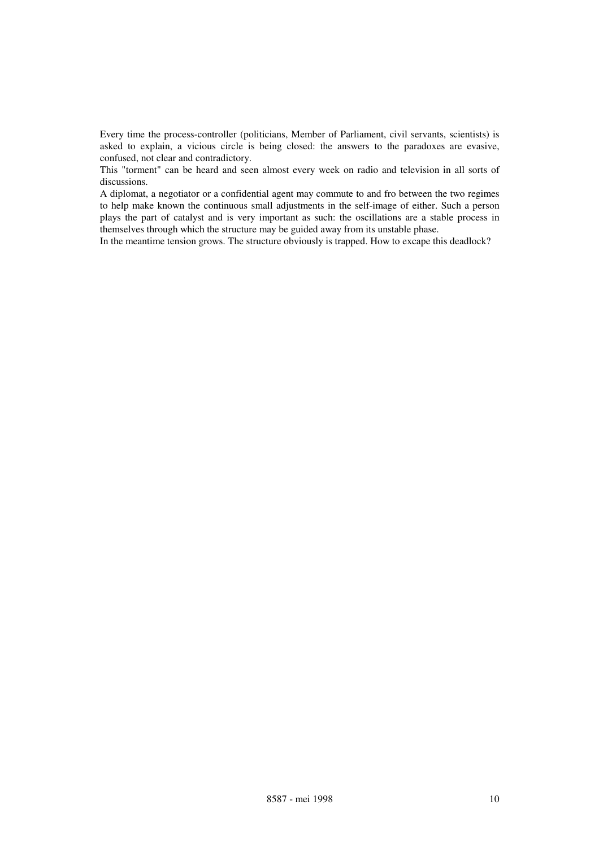Every time the process-controller (politicians, Member of Parliament, civil servants, scientists) is asked to explain, a vicious circle is being closed: the answers to the paradoxes are evasive, confused, not clear and contradictory.

This "torment" can be heard and seen almost every week on radio and television in all sorts of discussions.

A diplomat, a negotiator or a confidential agent may commute to and fro between the two regimes to help make known the continuous small adjustments in the self-image of either. Such a person plays the part of catalyst and is very important as such: the oscillations are a stable process in themselves through which the structure may be guided away from its unstable phase.

In the meantime tension grows. The structure obviously is trapped. How to excape this deadlock?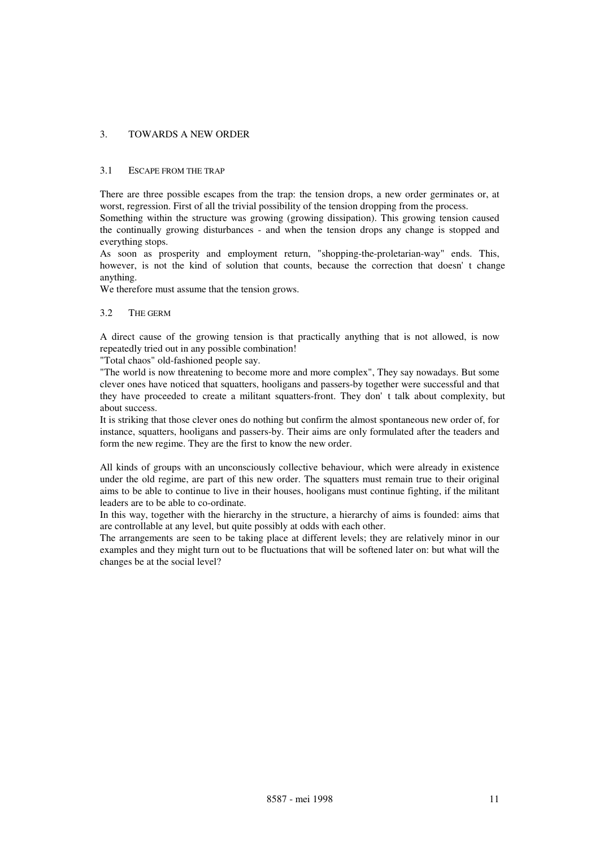### 3. TOWARDS A NEW ORDER

#### 3.1 ESCAPE FROM THE TRAP

There are three possible escapes from the trap: the tension drops, a new order germinates or, at worst, regression. First of all the trivial possibility of the tension dropping from the process. Something within the structure was growing (growing dissipation). This growing tension caused the continually growing disturbances - and when the tension drops any change is stopped and everything stops.

As soon as prosperity and employment return, "shopping-the-proletarian-way" ends. This, however, is not the kind of solution that counts, because the correction that doesn't change anything.

We therefore must assume that the tension grows.

#### 3.2 THE GERM

A direct cause of the growing tension is that practically anything that is not allowed, is now repeatedly tried out in any possible combination!

"Total chaos" old-fashioned people say.

"The world is now threatening to become more and more complex", They say nowadays. But some clever ones have noticed that squatters, hooligans and passers-by together were successful and that they have proceeded to create a militant squatters-front. They don't talk about complexity, but about success.

It is striking that those clever ones do nothing but confirm the almost spontaneous new order of, for instance, squatters, hooligans and passers-by. Their aims are only formulated after the teaders and form the new regime. They are the first to know the new order.

All kinds of groups with an unconsciously collective behaviour, which were already in existence under the old regime, are part of this new order. The squatters must remain true to their original aims to be able to continue to live in their houses, hooligans must continue fighting, if the militant leaders are to be able to co-ordinate.

In this way, together with the hierarchy in the structure, a hierarchy of aims is founded: aims that are controllable at any level, but quite possibly at odds with each other.

The arrangements are seen to be taking place at different levels; they are relatively minor in our examples and they might turn out to be fluctuations that will be softened later on: but what will the changes be at the social level?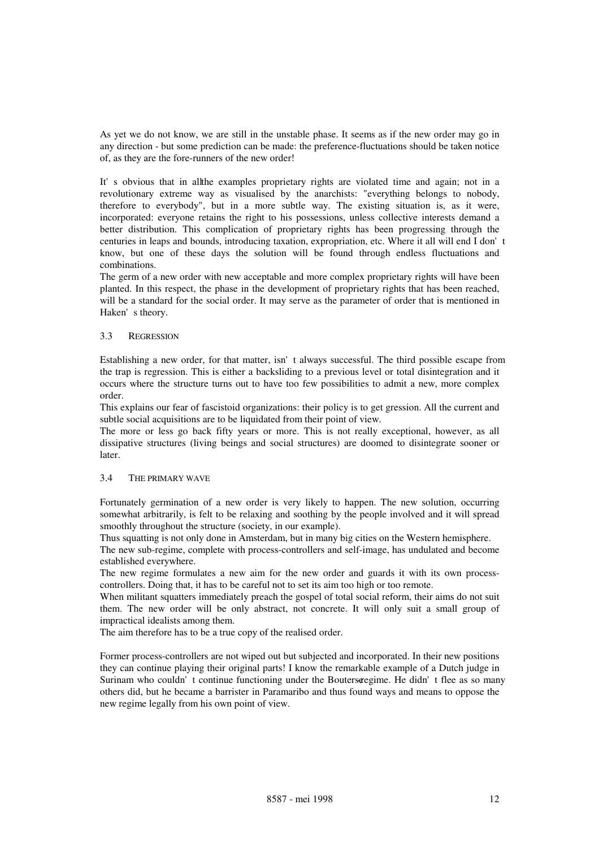As yet we do not know, we are still in the unstable phase. It seems as if the new order may go in any direction - but some prediction can be made: the preference-fluctuations should be taken notice of, as they are the fore-runners of the new order!

It's obvious that in allthe examples proprietary rights are violated time and again; not in a revolutionary extreme way as visualised by the anarchists: "everything belongs to nobody, therefore to everybody", but in a more subtle way. The existing situation is, as it were, incorporated: everyone retains the right to his possessions, unless collective interests demand a better distribution. This complication of proprietary rights has been progressing through the centuries in leaps and bounds, introducing taxation, expropriation, etc. Where it all will end I don't know, but one of these days the solution will be found through endless fluctuations and combinations.

The germ of a new order with new acceptable and more complex proprietary rights will have been planted. In this respect, the phase in the development of proprietary rights that has been reached, will be a standard for the social order. It may serve as the parameter of order that is mentioned in Haken's theory.

#### 3.3 REGRESSION

Establishing a new order, for that matter, isn't always successful. The third possible escape from the trap is regression. This is either a backsliding to a previous level or total disintegration and it occurs where the structure turns out to have too few possibilities to admit a new, more complex order.

This explains our fear of fascistoid organizations: their policy is to get gression. All the current and subtle social acquisitions are to be liquidated from their point of view.

The more or less go back fifty years or more. This is not really exceptional, however, as all dissipative structures (living beings and social structures) are doomed to disintegrate sooner or later.

#### 3.4 THE PRIMARY WAVE

Fortunately germination of a new order is very likely to happen. The new solution, occurring somewhat arbitrarily, is felt to be relaxing and soothing by the people involved and it will spread smoothly throughout the structure (society, in our example).

Thus squatting is not only done in Amsterdam, but in many big cities on the Western hemisphere.

The new sub-regime, complete with process-controllers and self-image, has undulated and become established everywhere.

The new regime formulates a new aim for the new order and guards it with its own processcontrollers. Doing that, it has to be careful not to set its aim too high or too remote.

When militant squatters immediately preach the gospel of total social reform, their aims do not suit them. The new order will be only abstract, not concrete. It will only suit a small group of impractical idealists among them.

The aim therefore has to be a true copy of the realised order.

Former process-controllers are not wiped out but subjected and incorporated. In their new positions they can continue playing their original parts! I know the remarkable example of a Dutch judge in Surinam who couldn't continue functioning under the Bouters regime. He didn't flee as so many others did, but he became a barrister in Paramaribo and thus found ways and means to oppose the new regime legally from his own point of view.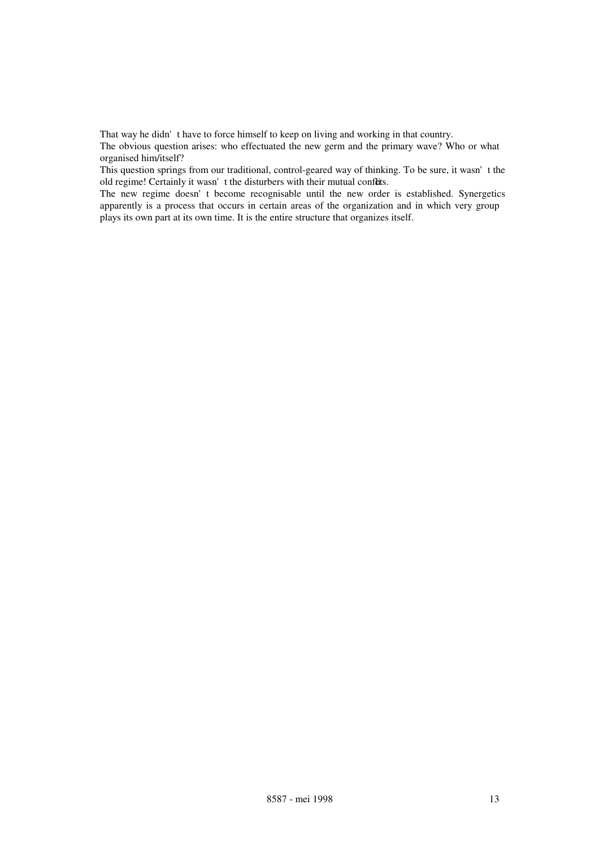That way he didn't have to force himself to keep on living and working in that country.

The obvious question arises: who effectuated the new germ and the primary wave? Who or what organised him/itself?

This question springs from our traditional, control-geared way of thinking. To be sure, it wasn't the old regime! Certainly it wasn't the disturbers with their mutual confuts.

The new regime doesn't become recognisable until the new order is established. Synergetics apparently is a process that occurs in certain areas of the organization and in which very group plays its own part at its own time. It is the entire structure that organizes itself.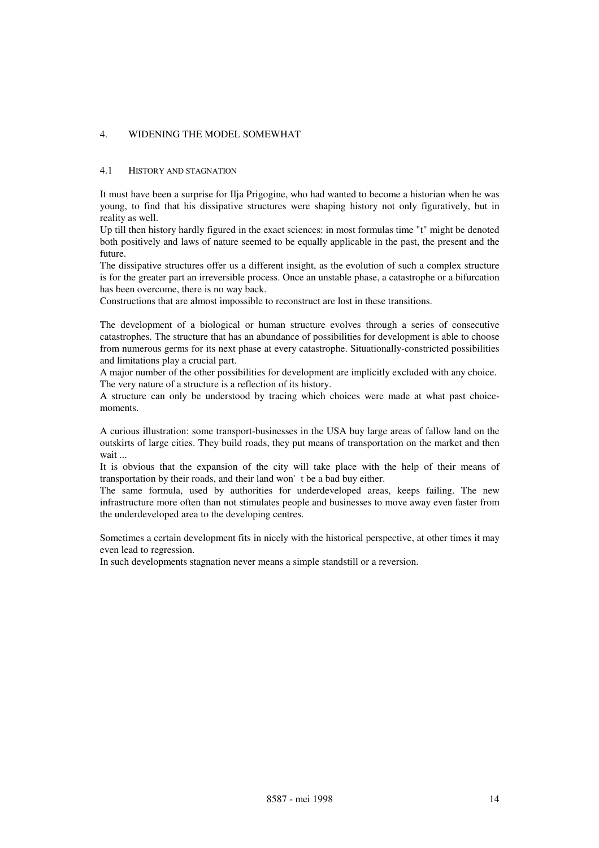### 4. WIDENING THE MODEL SOMEWHAT

#### 4.1 HISTORY AND STAGNATION

It must have been a surprise for Ilja Prigogine, who had wanted to become a historian when he was young, to find that his dissipative structures were shaping history not only figuratively, but in reality as well.

Up till then history hardly figured in the exact sciences: in most formulas time "t" might be denoted both positively and laws of nature seemed to be equally applicable in the past, the present and the future.

The dissipative structures offer us a different insight, as the evolution of such a complex structure is for the greater part an irreversible process. Once an unstable phase, a catastrophe or a bifurcation has been overcome, there is no way back.

Constructions that are almost impossible to reconstruct are lost in these transitions.

The development of a biological or human structure evolves through a series of consecutive catastrophes. The structure that has an abundance of possibilities for development is able to choose from numerous germs for its next phase at every catastrophe. Situationally-constricted possibilities and limitations play a crucial part.

A major number of the other possibilities for development are implicitly excluded with any choice. The very nature of a structure is a reflection of its history.

A structure can only be understood by tracing which choices were made at what past choicemoments.

A curious illustration: some transport-businesses in the USA buy large areas of fallow land on the outskirts of large cities. They build roads, they put means of transportation on the market and then wait ...

It is obvious that the expansion of the city will take place with the help of their means of transportation by their roads, and their land won't be a bad buy either.

The same formula, used by authorities for underdeveloped areas, keeps failing. The new infrastructure more often than not stimulates people and businesses to move away even faster from the underdeveloped area to the developing centres.

Sometimes a certain development fits in nicely with the historical perspective, at other times it may even lead to regression.

In such developments stagnation never means a simple standstill or a reversion.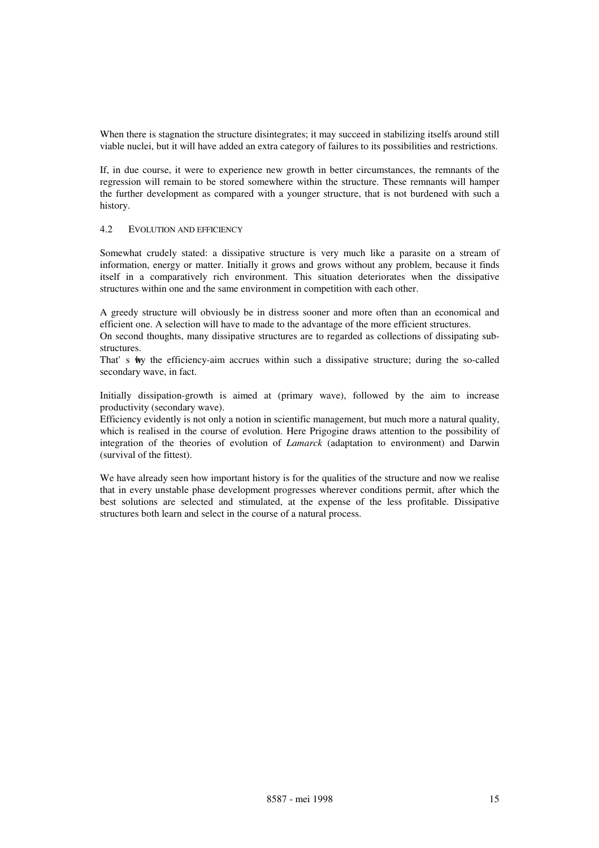When there is stagnation the structure disintegrates; it may succeed in stabilizing itselfs around still viable nuclei, but it will have added an extra category of failures to its possibilities and restrictions.

If, in due course, it were to experience new growth in better circumstances, the remnants of the regression will remain to be stored somewhere within the structure. These remnants will hamper the further development as compared with a younger structure, that is not burdened with such a history.

#### 4.2 EVOLUTION AND EFFICIENCY

Somewhat crudely stated: a dissipative structure is very much like a parasite on a stream of information, energy or matter. Initially it grows and grows without any problem, because it finds itself in a comparatively rich environment. This situation deteriorates when the dissipative structures within one and the same environment in competition with each other.

A greedy structure will obviously be in distress sooner and more often than an economical and efficient one. A selection will have to made to the advantage of the more efficient structures.

On second thoughts, many dissipative structures are to regarded as collections of dissipating substructures.

That's why the efficiency-aim accrues within such a dissipative structure; during the so-called secondary wave, in fact.

Initially dissipation-growth is aimed at (primary wave), followed by the aim to increase productivity (secondary wave).

Efficiency evidently is not only a notion in scientific management, but much more a natural quality, which is realised in the course of evolution. Here Prigogine draws attention to the possibility of integration of the theories of evolution of *Lamarck* (adaptation to environment) and Darwin (survival of the fittest).

We have already seen how important history is for the qualities of the structure and now we realise that in every unstable phase development progresses wherever conditions permit, after which the best solutions are selected and stimulated, at the expense of the less profitable. Dissipative structures both learn and select in the course of a natural process.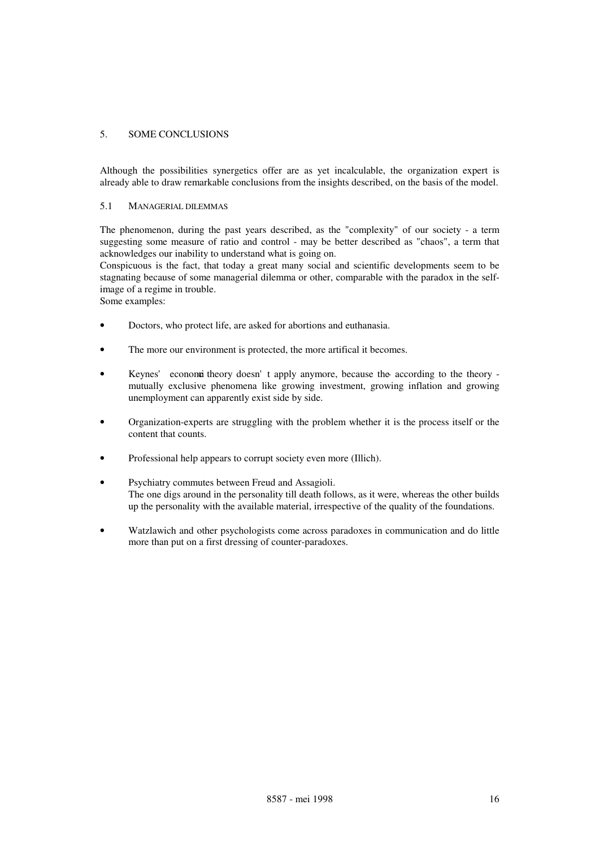### 5. SOME CONCLUSIONS

Although the possibilities synergetics offer are as yet incalculable, the organization expert is already able to draw remarkable conclusions from the insights described, on the basis of the model.

#### 5.1 MANAGERIAL DILEMMAS

The phenomenon, during the past years described, as the "complexity" of our society - a term suggesting some measure of ratio and control - may be better described as "chaos", a term that acknowledges our inability to understand what is going on.

Conspicuous is the fact, that today a great many social and scientific developments seem to be stagnating because of some managerial dilemma or other, comparable with the paradox in the selfimage of a regime in trouble.

Some examples:

- Doctors, who protect life, are asked for abortions and euthanasia.
- The more our environment is protected, the more artifical it becomes.
- Keynes' economic theory doesn't apply anymore, because the according to the theory mutually exclusive phenomena like growing investment, growing inflation and growing unemployment can apparently exist side by side.
- Organization-experts are struggling with the problem whether it is the process itself or the content that counts.
- Professional help appears to corrupt society even more (Illich).
- Psychiatry commutes between Freud and Assagioli. The one digs around in the personality till death follows, as it were, whereas the other builds up the personality with the available material, irrespective of the quality of the foundations.
- Watzlawich and other psychologists come across paradoxes in communication and do little more than put on a first dressing of counter-paradoxes.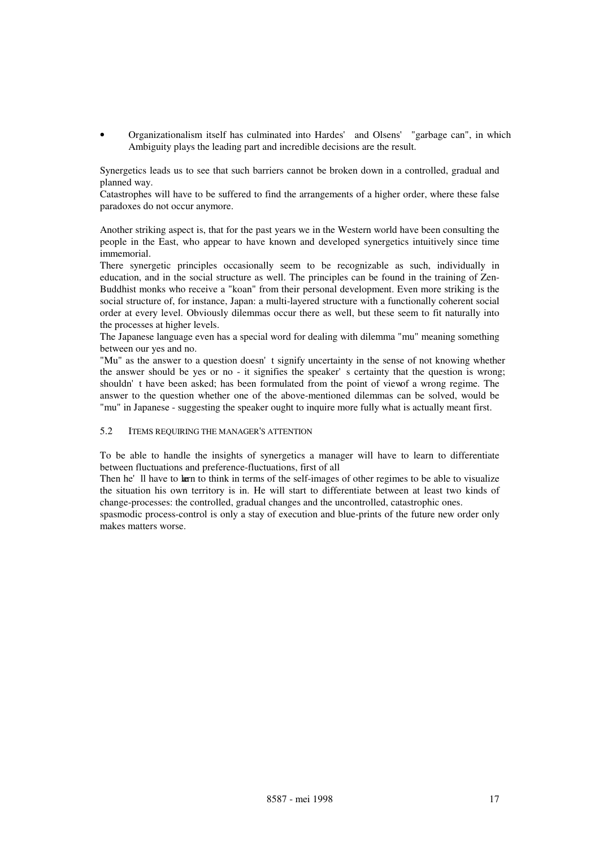• Organizationalism itself has culminated into Hardes' and Olsens' "garbage can", in which Ambiguity plays the leading part and incredible decisions are the result.

Synergetics leads us to see that such barriers cannot be broken down in a controlled, gradual and planned way.

Catastrophes will have to be suffered to find the arrangements of a higher order, where these false paradoxes do not occur anymore.

Another striking aspect is, that for the past years we in the Western world have been consulting the people in the East, who appear to have known and developed synergetics intuitively since time immemorial.

There synergetic principles occasionally seem to be recognizable as such, individually in education, and in the social structure as well. The principles can be found in the training of Zen-Buddhist monks who receive a "koan" from their personal development. Even more striking is the social structure of, for instance, Japan: a multi-layered structure with a functionally coherent social order at every level. Obviously dilemmas occur there as well, but these seem to fit naturally into the processes at higher levels.

The Japanese language even has a special word for dealing with dilemma "mu" meaning something between our yes and no.

"Mu" as the answer to a question doesn't signify uncertainty in the sense of not knowing whether the answer should be yes or no - it signifies the speaker's certainty that the question is wrong; shouldn' t have been asked; has been formulated from the point of view of a wrong regime. The answer to the question whether one of the above-mentioned dilemmas can be solved, would be "mu" in Japanese - suggesting the speaker ought to inquire more fully what is actually meant first.

#### 5.2 ITEMS REQUIRING THE MANAGER'S ATTENTION

To be able to handle the insights of synergetics a manager will have to learn to differentiate between fluctuations and preference-fluctuations, first of all

Then he'll have to kern to think in terms of the self-images of other regimes to be able to visualize the situation his own territory is in. He will start to differentiate between at least two kinds of change-processes: the controlled, gradual changes and the uncontrolled, catastrophic ones.

spasmodic process-control is only a stay of execution and blue-prints of the future new order only makes matters worse.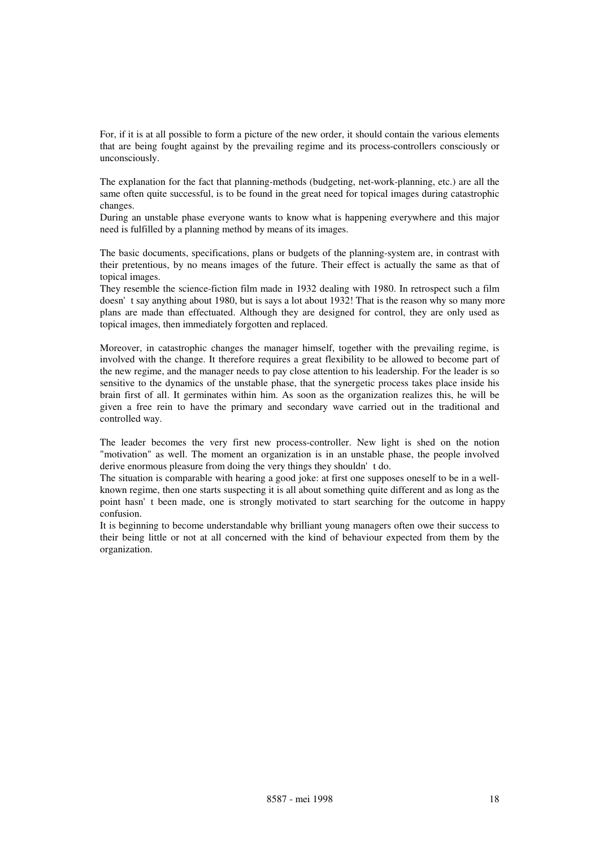For, if it is at all possible to form a picture of the new order, it should contain the various elements that are being fought against by the prevailing regime and its process-controllers consciously or unconsciously.

The explanation for the fact that planning-methods (budgeting, net-work-planning, etc.) are all the same often quite successful, is to be found in the great need for topical images during catastrophic changes.

During an unstable phase everyone wants to know what is happening everywhere and this major need is fulfilled by a planning method by means of its images.

The basic documents, specifications, plans or budgets of the planning-system are, in contrast with their pretentious, by no means images of the future. Their effect is actually the same as that of topical images.

They resemble the science-fiction film made in 1932 dealing with 1980. In retrospect such a film doesn't say anything about 1980, but is says a lot about 1932! That is the reason why so many more plans are made than effectuated. Although they are designed for control, they are only used as topical images, then immediately forgotten and replaced.

Moreover, in catastrophic changes the manager himself, together with the prevailing regime, is involved with the change. It therefore requires a great flexibility to be allowed to become part of the new regime, and the manager needs to pay close attention to his leadership. For the leader is so sensitive to the dynamics of the unstable phase, that the synergetic process takes place inside his brain first of all. It germinates within him. As soon as the organization realizes this, he will be given a free rein to have the primary and secondary wave carried out in the traditional and controlled way.

The leader becomes the very first new process-controller. New light is shed on the notion "motivation" as well. The moment an organization is in an unstable phase, the people involved derive enormous pleasure from doing the very things they shouldn't do.

The situation is comparable with hearing a good joke: at first one supposes oneself to be in a wellknown regime, then one starts suspecting it is all about something quite different and as long as the point hasn't been made, one is strongly motivated to start searching for the outcome in happy confusion.

It is beginning to become understandable why brilliant young managers often owe their success to their being little or not at all concerned with the kind of behaviour expected from them by the organization.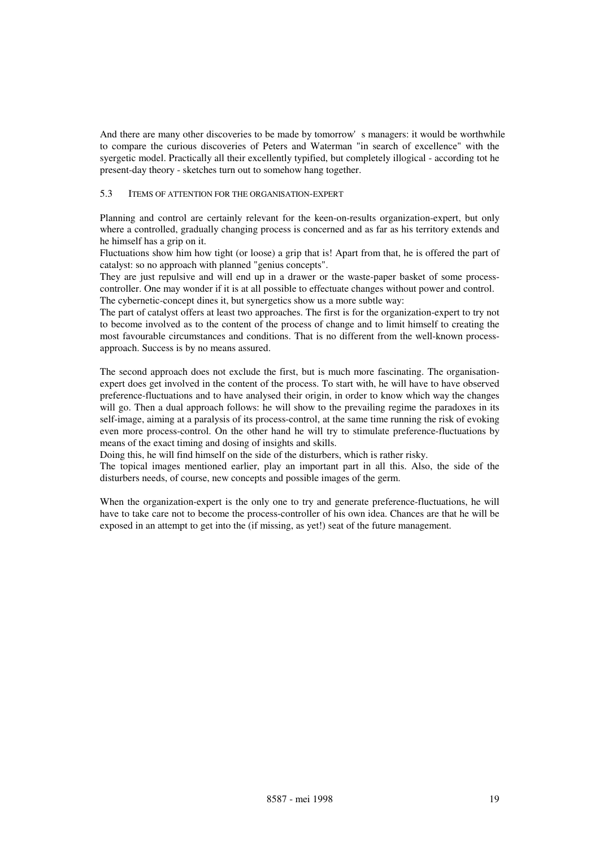And there are many other discoveries to be made by tomorrow's managers: it would be worthwhile to compare the curious discoveries of Peters and Waterman "in search of excellence" with the syergetic model. Practically all their excellently typified, but completely illogical - according tot he present-day theory - sketches turn out to somehow hang together.

#### 5.3 ITEMS OF ATTENTION FOR THE ORGANISATION-EXPERT

Planning and control are certainly relevant for the keen-on-results organization-expert, but only where a controlled, gradually changing process is concerned and as far as his territory extends and he himself has a grip on it.

Fluctuations show him how tight (or loose) a grip that is! Apart from that, he is offered the part of catalyst: so no approach with planned "genius concepts".

They are just repulsive and will end up in a drawer or the waste-paper basket of some processcontroller. One may wonder if it is at all possible to effectuate changes without power and control. The cybernetic-concept dines it, but synergetics show us a more subtle way:

The part of catalyst offers at least two approaches. The first is for the organization-expert to try not to become involved as to the content of the process of change and to limit himself to creating the most favourable circumstances and conditions. That is no different from the well-known processapproach. Success is by no means assured.

The second approach does not exclude the first, but is much more fascinating. The organisationexpert does get involved in the content of the process. To start with, he will have to have observed preference-fluctuations and to have analysed their origin, in order to know which way the changes will go. Then a dual approach follows: he will show to the prevailing regime the paradoxes in its self-image, aiming at a paralysis of its process-control, at the same time running the risk of evoking even more process-control. On the other hand he will try to stimulate preference-fluctuations by means of the exact timing and dosing of insights and skills.

Doing this, he will find himself on the side of the disturbers, which is rather risky.

The topical images mentioned earlier, play an important part in all this. Also, the side of the disturbers needs, of course, new concepts and possible images of the germ.

When the organization-expert is the only one to try and generate preference-fluctuations, he will have to take care not to become the process-controller of his own idea. Chances are that he will be exposed in an attempt to get into the (if missing, as yet!) seat of the future management.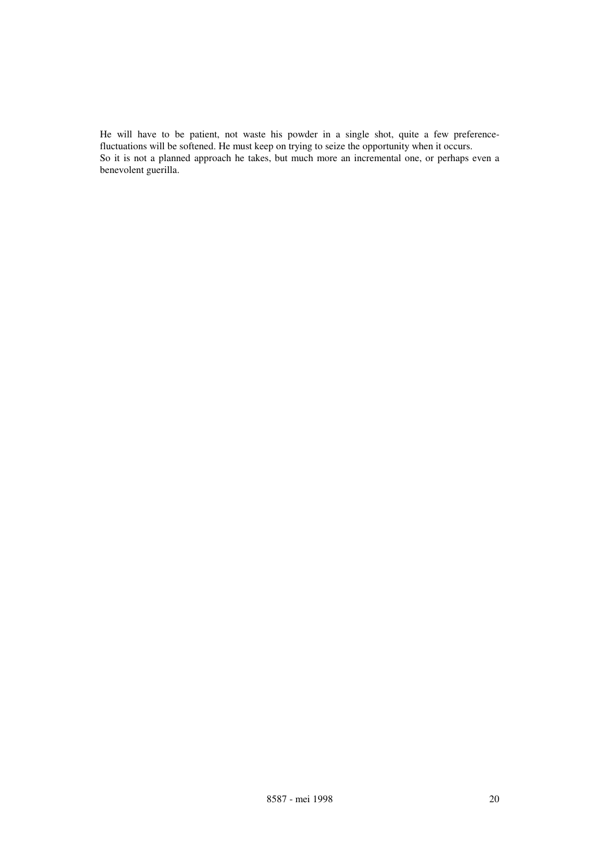He will have to be patient, not waste his powder in a single shot, quite a few preferencefluctuations will be softened. He must keep on trying to seize the opportunity when it occurs. So it is not a planned approach he takes, but much more an incremental one, or perhaps even a benevolent guerilla.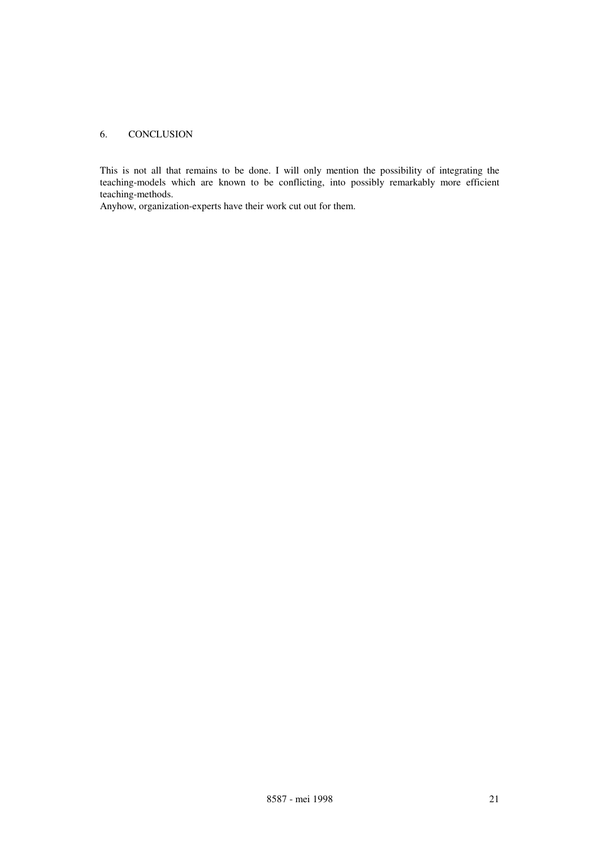## 6. CONCLUSION

This is not all that remains to be done. I will only mention the possibility of integrating the teaching-models which are known to be conflicting, into possibly remarkably more efficient teaching-methods.

Anyhow, organization-experts have their work cut out for them.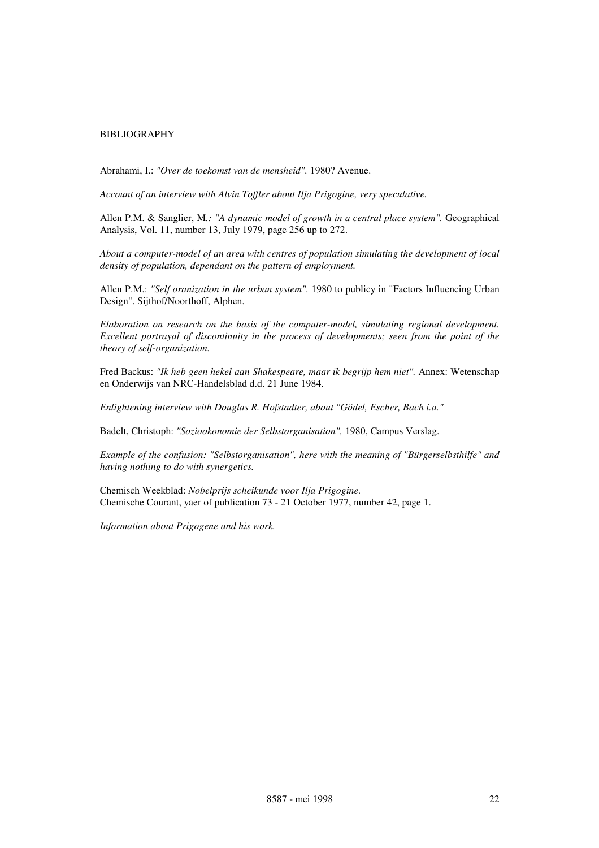#### BIBLIOGRAPHY

Abrahami, I.: *"Over de toekomst van de mensheid".* 1980? Avenue.

*Account of an interview with Alvin Toffler about Ilja Prigogine, very speculative.*

Allen P.M. & Sanglier, M*.: "A dynamic model of growth in a central place system".* Geographical Analysis, Vol. 11, number 13, July 1979, page 256 up to 272.

*About a computer-model of an area with centres of population simulating the development of local density of population, dependant on the pattern of employment.*

Allen P.M.: *"Self oranization in the urban system".* 1980 to publicy in "Factors Influencing Urban Design". Sijthof/Noorthoff, Alphen.

*Elaboration on research on the basis of the computer-model, simulating regional development. Excellent portrayal of discontinuity in the process of developments; seen from the point of the theory of self-organization.*

Fred Backus: *"Ik heb geen hekel aan Shakespeare, maar ik begrijp hem niet".* Annex: Wetenschap en Onderwijs van NRC-Handelsblad d.d. 21 June 1984.

*Enlightening interview with Douglas R. Hofstadter, about "Gödel, Escher, Bach i.a."*

Badelt, Christoph: *"Soziookonomie der Selbstorganisation",* 1980, Campus Verslag.

*Example of the confusion: "Selbstorganisation", here with the meaning of "Bürgerselbsthilfe" and having nothing to do with synergetics.*

Chemisch Weekblad: *Nobelprijs scheikunde voor Ilja Prigogine.* Chemische Courant, yaer of publication 73 - 21 October 1977, number 42, page 1.

*Information about Prigogene and his work.*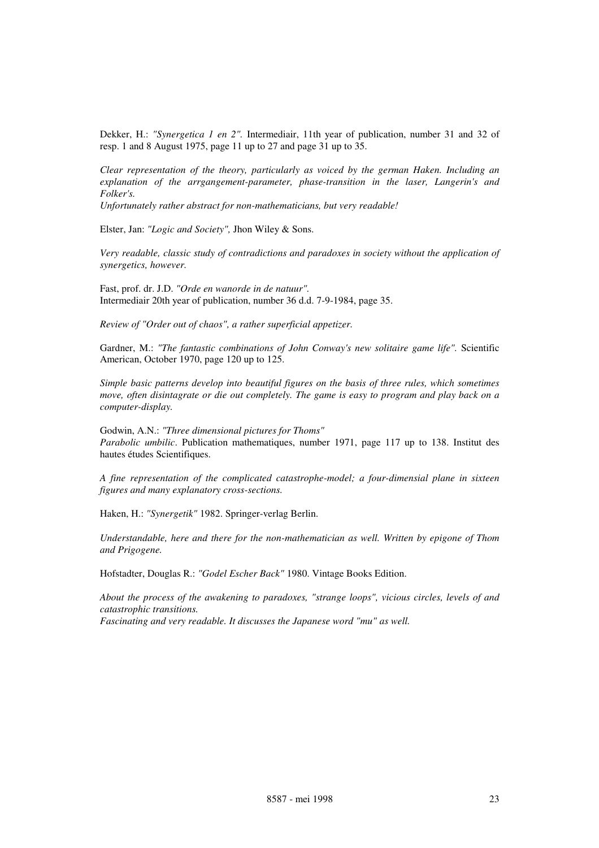Dekker, H.: *"Synergetica 1 en 2".* Intermediair, 11th year of publication, number 31 and 32 of resp. 1 and 8 August 1975, page 11 up to 27 and page 31 up to 35.

*Clear representation of the theory, particularly as voiced by the german Haken. Including an explanation of the arrgangement-parameter, phase-transition in the laser, Langerin's and Folker's.*

*Unfortunately rather abstract for non-mathematicians, but very readable!*

Elster, Jan: *"Logic and Society",* Jhon Wiley & Sons.

*Very readable, classic study of contradictions and paradoxes in society without the application of synergetics, however.*

Fast, prof. dr. J.D. *"Orde en wanorde in de natuur".* Intermediair 20th year of publication, number 36 d.d. 7-9-1984, page 35.

*Review of "Order out of chaos", a rather superficial appetizer.*

Gardner, M.: *"The fantastic combinations of John Conway's new solitaire game life".* Scientific American, October 1970, page 120 up to 125.

*Simple basic patterns develop into beautiful figures on the basis of three rules, which sometimes move, often disintagrate or die out completely. The game is easy to program and play back on a computer-display.*

Godwin, A.N.: *"Three dimensional pictures for Thoms" Parabolic umbilic*. Publication mathematiques, number 1971, page 117 up to 138. Institut des hautes études Scientifiques.

*A fine representation of the complicated catastrophe-model; a four-dimensial plane in sixteen figures and many explanatory cross-sections.*

Haken, H.: *"Synergetik"* 1982. Springer-verlag Berlin.

*Understandable, here and there for the non-mathematician as well. Written by epigone of Thom and Prigogene.*

Hofstadter, Douglas R.: *"Godel Escher Back"* 1980. Vintage Books Edition.

*About the process of the awakening to paradoxes, "strange loops", vicious circles, levels of and catastrophic transitions. Fascinating and very readable. It discusses the Japanese word "mu" as well.*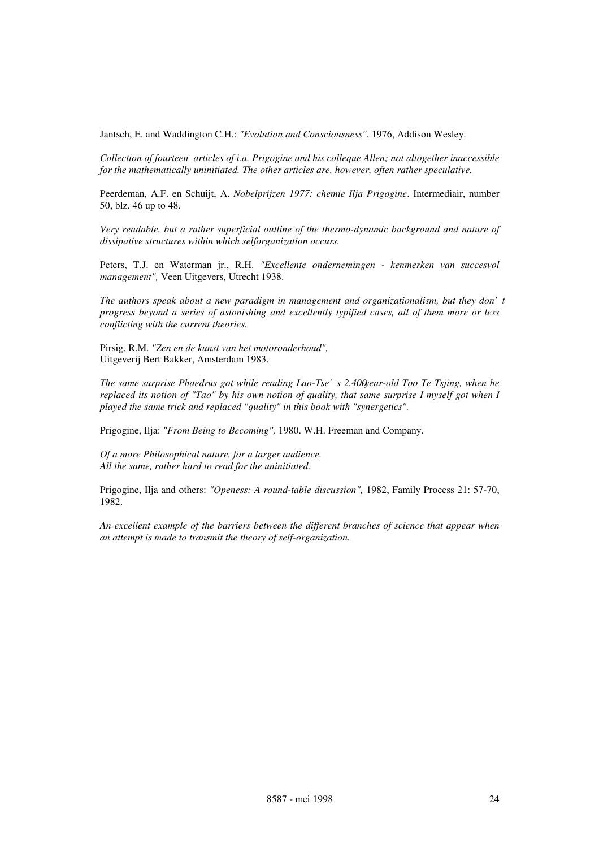Jantsch, E. and Waddington C.H.: *"Evolution and Consciousness".* 1976, Addison Wesley.

*Collection of fourteen articles of i.a. Prigogine and his colleque Allen; not altogether inaccessible for the mathematically uninitiated. The other articles are, however, often rather speculative.*

Peerdeman, A.F. en Schuijt, A. *Nobelprijzen 1977: chemie Ilja Prigogine*. Intermediair, number 50, blz. 46 up to 48.

*Very readable, but a rather superficial outline of the thermo-dynamic background and nature of dissipative structures within which selforganization occurs.*

Peters, T.J. en Waterman jr., R.H. *"Excellente ondernemingen - kenmerken van succesvol management",* Veen Uitgevers, Utrecht 1938.

*The authors speak about a new paradigm in management and organizationalism, but they don't progress beyond a series of astonishing and excellently typified cases, all of them more or less conflicting with the current theories.*

Pirsig, R.M. *"Zen en de kunst van het motoronderhoud",* Uitgeverij Bert Bakker, Amsterdam 1983.

The same surprise Phaedrus got while reading Lao-Tse's 2.400year-old Too Te Tsjing, when he *replaced its notion of "Tao" by his own notion of quality, that same surprise I myself got when I played the same trick and replaced "quality" in this book with "synergetics".*

Prigogine, Ilja: *"From Being to Becoming",* 1980. W.H. Freeman and Company.

*Of a more Philosophical nature, for a larger audience. All the same, rather hard to read for the uninitiated.*

Prigogine, Ilja and others: *"Openess: A round-table discussion",* 1982, Family Process 21: 57-70, 1982.

*An excellent example of the barriers between the different branches of science that appear when an attempt is made to transmit the theory of self-organization.*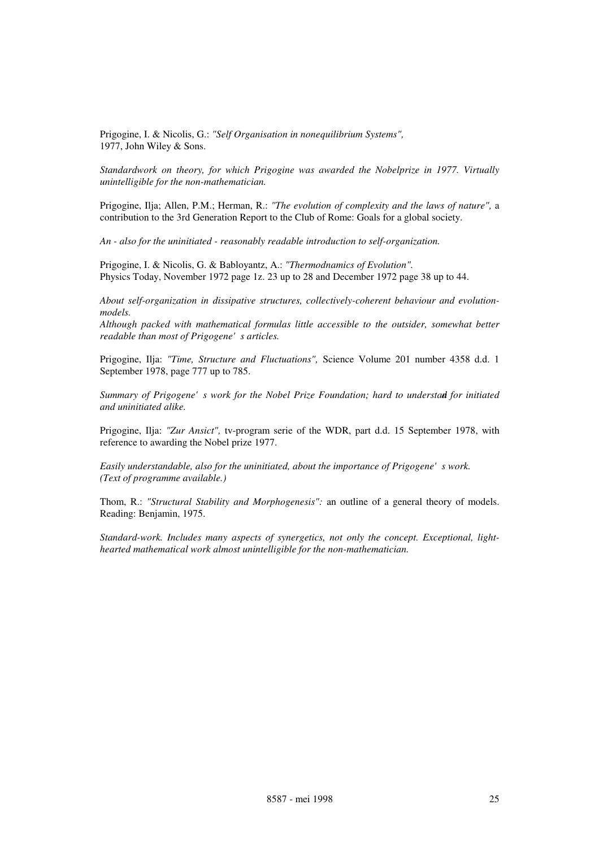Prigogine, I. & Nicolis, G.: *"Self Organisation in nonequilibrium Systems",* 1977, John Wiley & Sons.

*Standardwork on theory, for which Prigogine was awarded the Nobelprize in 1977. Virtually unintelligible for the non-mathematician.*

Prigogine, Ilja; Allen, P.M.; Herman, R.: *"The evolution of complexity and the laws of nature",* a contribution to the 3rd Generation Report to the Club of Rome: Goals for a global society.

*An - also for the uninitiated - reasonably readable introduction to self-organization.*

Prigogine, I. & Nicolis, G. & Babloyantz, A.: *"Thermodnamics of Evolution".* Physics Today, November 1972 page 1z. 23 up to 28 and December 1972 page 38 up to 44.

*About self-organization in dissipative structures, collectively-coherent behaviour and evolutionmodels.*

*Although packed with mathematical formulas little accessible to the outsider, somewhat better readable than most of Prigogene's articles.* 

Prigogine, Ilja: *"Time, Structure and Fluctuations",* Science Volume 201 number 4358 d.d. 1 September 1978, page 777 up to 785.

*Summary of Prigogene's work for the Nobel Prize Foundation; hard to understand for initiated and uninitiated alike.*

Prigogine, Ilja: *"Zur Ansict",* tv-program serie of the WDR, part d.d. 15 September 1978, with reference to awarding the Nobel prize 1977.

*Easily understandable, also for the uninitiated, about the importance of Prigogene's work. (Text of programme available.)*

Thom, R.: *"Structural Stability and Morphogenesis":* an outline of a general theory of models. Reading: Benjamin, 1975.

*Standard-work. Includes many aspects of synergetics, not only the concept. Exceptional, lighthearted mathematical work almost unintelligible for the non-mathematician.*